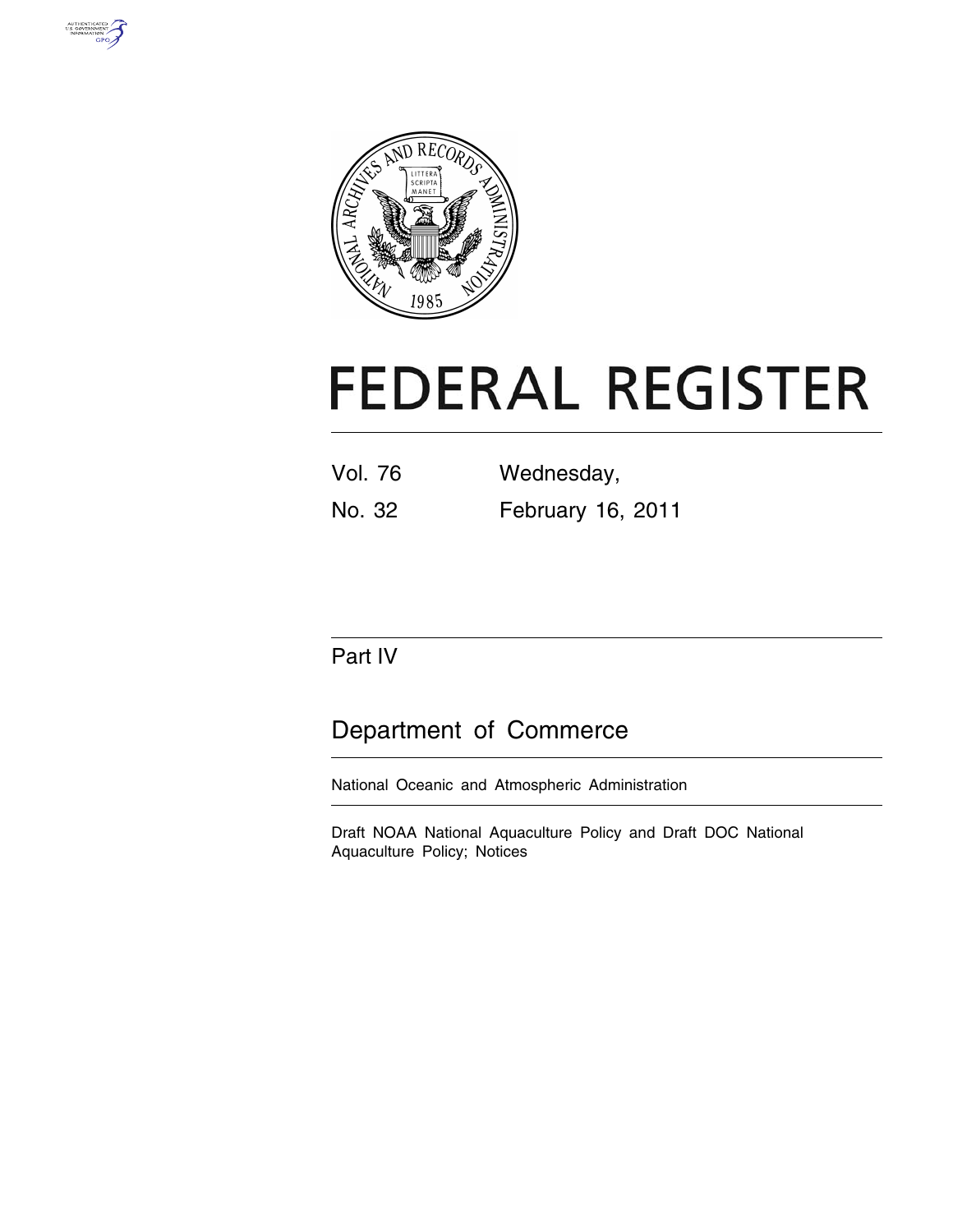



# **FEDERAL REGISTER**

| <b>Vol. 76</b> | Wednesday,        |
|----------------|-------------------|
| No. 32         | February 16, 2011 |

# Part IV

# Department of Commerce

National Oceanic and Atmospheric Administration

Draft NOAA National Aquaculture Policy and Draft DOC National Aquaculture Policy; Notices